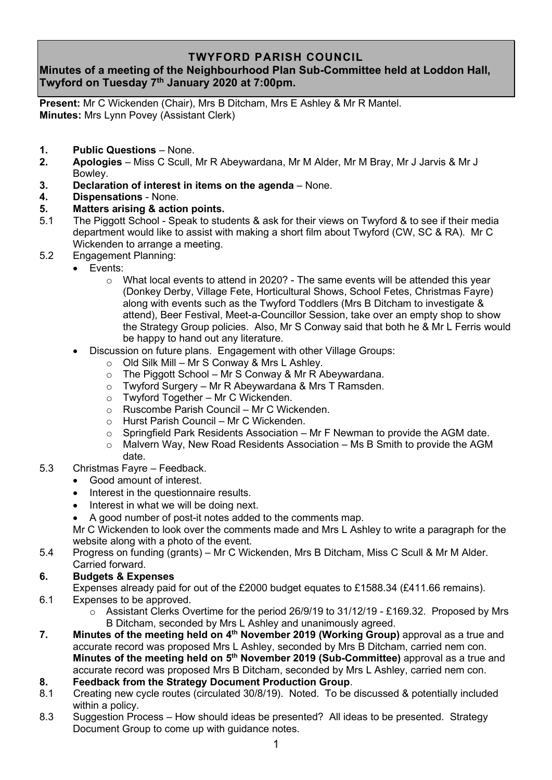## **TWYFORD PARISH COUNCIL**

# **Minutes of a meeting of the Neighbourhood Plan Sub-Committee held at Loddon Hall, Twyford on Tuesday 7 th January 2020 at 7:00pm.**

**Present:** Mr C Wickenden (Chair), Mrs B Ditcham, Mrs E Ashley & Mr R Mantel. **Minutes:** Mrs Lynn Povey (Assistant Clerk)

- **1. Public Questions** None.
- **2. Apologies** Miss C Scull, Mr R Abeywardana, Mr M Alder, Mr M Bray, Mr J Jarvis & Mr J Bowley.
- **3. Declaration of interest in items on the agenda** None.
- **4. Dispensations** None.

#### **5. Matters arising & action points.**

- 5.1 The Piggott School Speak to students & ask for their views on Twyford & to see if their media department would like to assist with making a short film about Twyford (CW, SC & RA). Mr C Wickenden to arrange a meeting.
- 5.2 Engagement Planning:
	- Events:
		- $\circ$  What local events to attend in 2020? The same events will be attended this year (Donkey Derby, Village Fete, Horticultural Shows, School Fetes, Christmas Fayre) along with events such as the Twyford Toddlers (Mrs B Ditcham to investigate & attend), Beer Festival, Meet-a-Councillor Session, take over an empty shop to show the Strategy Group policies. Also, Mr S Conway said that both he & Mr L Ferris would be happy to hand out any literature.
	- Discussion on future plans. Engagement with other Village Groups:
		- $\circ$  Old Silk Mill Mr S Conway & Mrs L Ashley.
		- $\circ$  The Piggott School Mr S Conway & Mr R Abeywardana.
		- o Twyford Surgery Mr R Abeywardana & Mrs T Ramsden.
		- $\circ$  Twyford Together Mr C Wickenden.
		- o Ruscombe Parish Council Mr C Wickenden.
		- o Hurst Parish Council Mr C Wickenden.
		- o Springfield Park Residents Association Mr F Newman to provide the AGM date.
		- o Malvern Way, New Road Residents Association Ms B Smith to provide the AGM date.
- 5.3 Christmas Fayre Feedback.
	- Good amount of interest.
	- Interest in the questionnaire results.
	- Interest in what we will be doing next.
	- A good number of post-it notes added to the comments map.

Mr C Wickenden to look over the comments made and Mrs L Ashley to write a paragraph for the website along with a photo of the event.

5.4 Progress on funding (grants) – Mr C Wickenden, Mrs B Ditcham, Miss C Scull & Mr M Alder. Carried forward.

### **6. Budgets & Expenses**

 Expenses already paid for out of the £2000 budget equates to £1588.34 (£411.66 remains). 6.1 Expenses to be approved.

- o Assistant Clerks Overtime for the period 26/9/19 to 31/12/19 £169.32. Proposed by Mrs B Ditcham, seconded by Mrs L Ashley and unanimously agreed.
- **7.** Minutes of the meeting held on 4<sup>th</sup> November 2019 (Working Group) approval as a true and accurate record was proposed Mrs L Ashley, seconded by Mrs B Ditcham, carried nem con. **Minutes of the meeting held on 5 th November 2019 (Sub-Committee)** approval as a true and accurate record was proposed Mrs B Ditcham, seconded by Mrs L Ashley, carried nem con.
- **8. Feedback from the Strategy Document Production Group**.
- 8.1 Creating new cycle routes (circulated 30/8/19). Noted. To be discussed & potentially included within a policy.<br>8.3 Suggestion Pro
- Suggestion Process How should ideas be presented? All ideas to be presented. Strategy Document Group to come up with guidance notes.